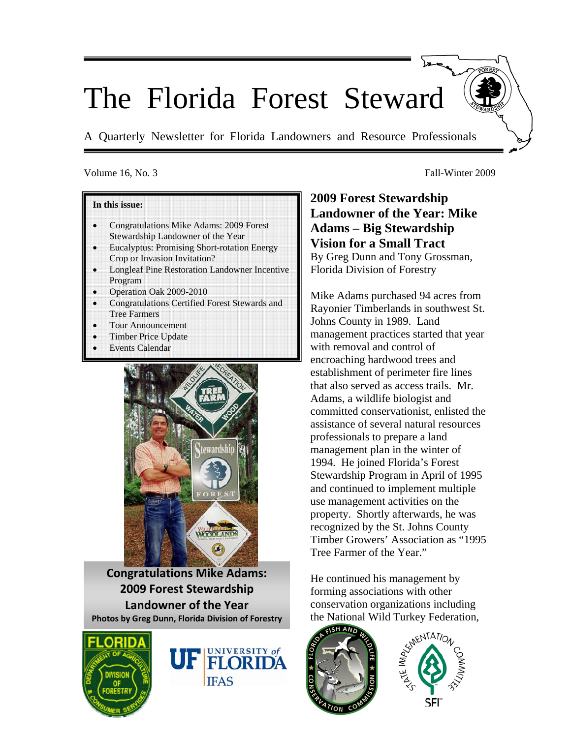# The Florida Forest Steward

A Quarterly Newsletter for Florida Landowners and Resource Professionals

#### Volume 16, No. 3 Fall-Winter 2009

#### **In this issue:**

- Congratulations Mike Adams: 2009 Forest Stewardship Landowner of the Year
- Eucalyptus: Promising Short-rotation Energy Crop or Invasion Invitation?
- Longleaf Pine Restoration Landowner Incentive Program
- Operation Oak 2009-2010
- Congratulations Certified Forest Stewards and Tree Farmers
- Tour Announcement
- Timber Price Update
- **Events Calendar**



**Congratulations Mike Adams: 2009 Forest Stewardship Landowner of the Year Photos by Greg Dunn, Florida Division of Forestry**





**2009 Forest Stewardship Landowner of the Year: Mike Adams – Big Stewardship Vision for a Small Tract**  By Greg Dunn and Tony Grossman, Florida Division of Forestry

Mike Adams purchased 94 acres from Rayonier Timberlands in southwest St. Johns County in 1989. Land management practices started that year with removal and control of encroaching hardwood trees and establishment of perimeter fire lines that also served as access trails. Mr. Adams, a wildlife biologist and committed conservationist, enlisted the assistance of several natural resources professionals to prepare a land management plan in the winter of 1994. He joined Florida's Forest Stewardship Program in April of 1995 and continued to implement multiple use management activities on the property. Shortly afterwards, he was recognized by the St. Johns County Timber Growers' Association as "1995 Tree Farmer of the Year."

He continued his management by forming associations with other conservation organizations including the National Wild Turkey Federation,



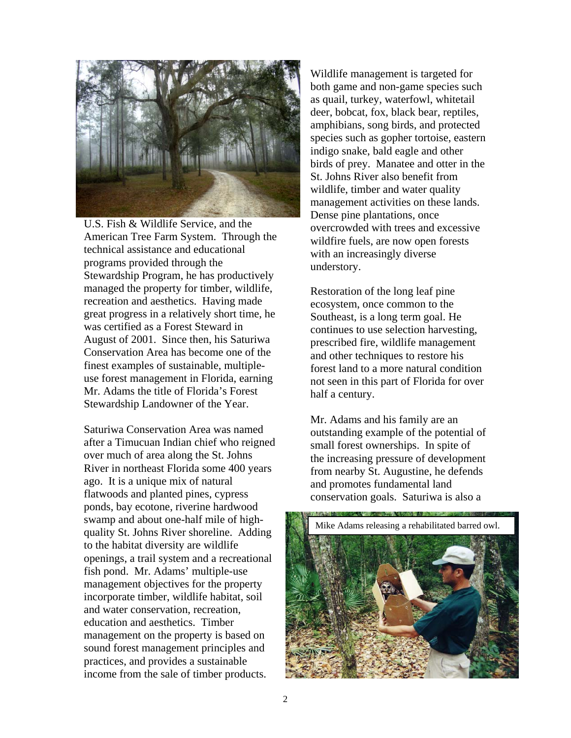

U.S. Fish & Wildlife Service, and the American Tree Farm System. Through the technical assistance and educational programs provided through the Stewardship Program, he has productively managed the property for timber, wildlife, recreation and aesthetics. Having made great progress in a relatively short time, he was certified as a Forest Steward in August of 2001. Since then, his Saturiwa Conservation Area has become one of the finest examples of sustainable, multipleuse forest management in Florida, earning Mr. Adams the title of Florida's Forest Stewardship Landowner of the Year.

Saturiwa Conservation Area was named after a Timucuan Indian chief who reigned over much of area along the St. Johns River in northeast Florida some 400 years ago. It is a unique mix of natural flatwoods and planted pines, cypress ponds, bay ecotone, riverine hardwood swamp and about one-half mile of highquality St. Johns River shoreline. Adding to the habitat diversity are wildlife openings, a trail system and a recreational fish pond. Mr. Adams' multiple-use management objectives for the property incorporate timber, wildlife habitat, soil and water conservation, recreation, education and aesthetics. Timber management on the property is based on sound forest management principles and practices, and provides a sustainable income from the sale of timber products.

Wildlife management is targeted for both game and non-game species such as quail, turkey, waterfowl, whitetail deer, bobcat, fox, black bear, reptiles, amphibians, song birds, and protected species such as gopher tortoise, eastern indigo snake, bald eagle and other birds of prey. Manatee and otter in the St. Johns River also benefit from wildlife, timber and water quality management activities on these lands. Dense pine plantations, once overcrowded with trees and excessive wildfire fuels, are now open forests with an increasingly diverse understory.

Restoration of the long leaf pine ecosystem, once common to the Southeast, is a long term goal. He continues to use selection harvesting, prescribed fire, wildlife management and other techniques to restore his forest land to a more natural condition not seen in this part of Florida for over half a century.

Mr. Adams and his family are an outstanding example of the potential of small forest ownerships. In spite of the increasing pressure of development from nearby St. Augustine, he defends and promotes fundamental land conservation goals. Saturiwa is also a

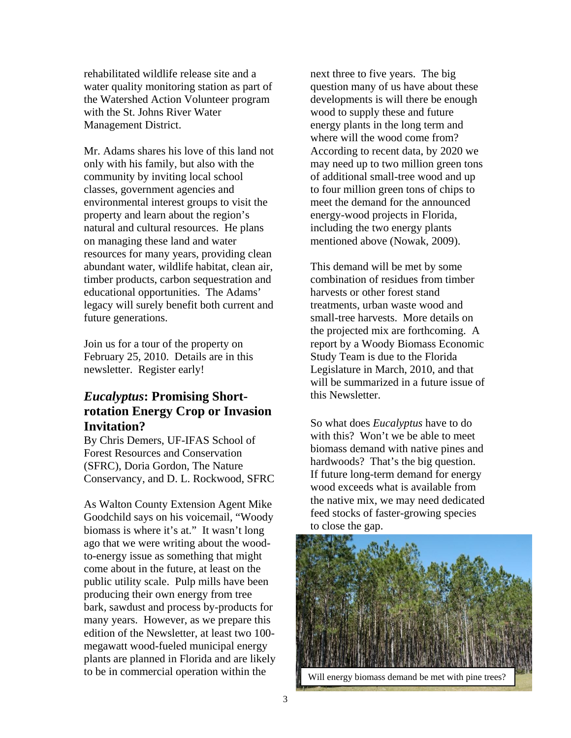rehabilitated wildlife release site and a water quality monitoring station as part of the Watershed Action Volunteer program with the St. Johns River Water Management District.

Mr. Adams shares his love of this land not only with his family, but also with the community by inviting local school classes, government agencies and environmental interest groups to visit the property and learn about the region's natural and cultural resources. He plans on managing these land and water resources for many years, providing clean abundant water, wildlife habitat, clean air, timber products, carbon sequestration and educational opportunities. The Adams' legacy will surely benefit both current and future generations.

Join us for a tour of the property on February 25, 2010. Details are in this newsletter. Register early!

# *Eucalyptus***: Promising Shortrotation Energy Crop or Invasion Invitation?**

By Chris Demers, UF-IFAS School of Forest Resources and Conservation (SFRC), Doria Gordon, The Nature Conservancy, and D. L. Rockwood, SFRC

As Walton County Extension Agent Mike Goodchild says on his voicemail, "Woody biomass is where it's at." It wasn't long ago that we were writing about the woodto-energy issue as something that might come about in the future, at least on the public utility scale. Pulp mills have been producing their own energy from tree bark, sawdust and process by-products for many years. However, as we prepare this edition of the Newsletter, at least two 100 megawatt wood-fueled municipal energy plants are planned in Florida and are likely to be in commercial operation within the

next three to five years. The big question many of us have about these developments is will there be enough wood to supply these and future energy plants in the long term and where will the wood come from? According to recent data, by 2020 we may need up to two million green tons of additional small-tree wood and up to four million green tons of chips to meet the demand for the announced energy-wood projects in Florida, including the two energy plants mentioned above (Nowak, 2009).

This demand will be met by some combination of residues from timber harvests or other forest stand treatments, urban waste wood and small-tree harvests. More details on the projected mix are forthcoming. A report by a Woody Biomass Economic Study Team is due to the Florida Legislature in March, 2010, and that will be summarized in a future issue of this Newsletter.

So what does *Eucalyptus* have to do with this? Won't we be able to meet biomass demand with native pines and hardwoods? That's the big question. If future long-term demand for energy wood exceeds what is available from the native mix, we may need dedicated feed stocks of faster-growing species to close the gap.

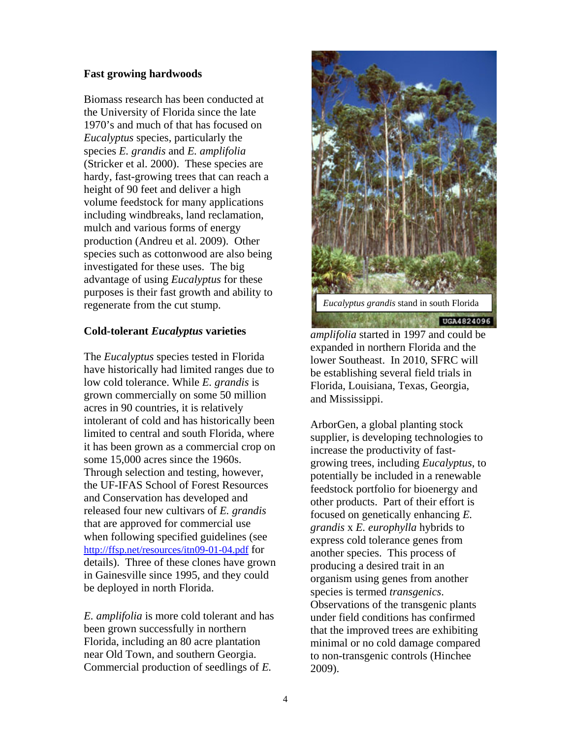#### **Fast growing hardwoods**

Biomass research has been conducted at the University of Florida since the late 1970's and much of that has focused on *Eucalyptus* species, particularly the species *E. grandis* and *E. amplifolia*  (Stricker et al. 2000). These species are hardy, fast-growing trees that can reach a height of 90 feet and deliver a high volume feedstock for many applications including windbreaks, land reclamation, mulch and various forms of energy production (Andreu et al. 2009). Other species such as cottonwood are also being investigated for these uses. The big advantage of using *Eucalyptus* for these purposes is their fast growth and ability to regenerate from the cut stump.

#### **Cold-tolerant** *Eucalyptus* **varieties**

The *Eucalyptus* species tested in Florida have historically had limited ranges due to low cold tolerance. While *E. grandis* is grown commercially on some 50 million acres in 90 countries, it is relatively intolerant of cold and has historically been limited to central and south Florida, where it has been grown as a commercial crop on some 15,000 acres since the 1960s. Through selection and testing, however, the UF-IFAS School of Forest Resources and Conservation has developed and released four new cultivars of *E. grandis* that are approved for commercial use when following specified guidelines (see http://ffsp.net/resources/itn09-01-04.pdf for details). Three of these clones have grown in Gainesville since 1995, and they could be deployed in north Florida.

*E. amplifolia* is more cold tolerant and has been grown successfully in northern Florida, including an 80 acre plantation near Old Town, and southern Georgia. Commercial production of seedlings of *E.* 



UGA4824096

*amplifolia* started in 1997 and could be expanded in northern Florida and the lower Southeast. In 2010, SFRC will be establishing several field trials in Florida, Louisiana, Texas, Georgia, and Mississippi.

ArborGen, a global planting stock supplier, is developing technologies to increase the productivity of fastgrowing trees, including *Eucalyptus*, to potentially be included in a renewable feedstock portfolio for bioenergy and other products. Part of their effort is focused on genetically enhancing *E. grandis* x *E. europhylla* hybrids to express cold tolerance genes from another species. This process of producing a desired trait in an organism using genes from another species is termed *transgenics*. Observations of the transgenic plants under field conditions has confirmed that the improved trees are exhibiting minimal or no cold damage compared to non-transgenic controls (Hinchee 2009).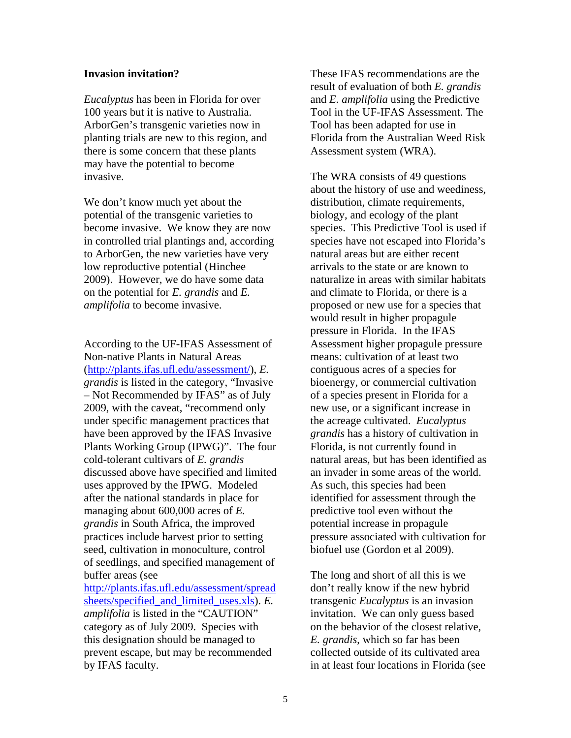#### **Invasion invitation?**

*Eucalyptus* has been in Florida for over 100 years but it is native to Australia. ArborGen's transgenic varieties now in planting trials are new to this region, and there is some concern that these plants may have the potential to become invasive.

We don't know much yet about the potential of the transgenic varieties to become invasive. We know they are now in controlled trial plantings and, according to ArborGen, the new varieties have very low reproductive potential (Hinchee 2009). However, we do have some data on the potential for *E. grandis* and *E. amplifolia* to become invasive.

According to the UF-IFAS Assessment of Non-native Plants in Natural Areas (http://plants.ifas.ufl.edu/assessment/), *E. grandis* is listed in the category, "Invasive – Not Recommended by IFAS" as of July 2009, with the caveat, "recommend only under specific management practices that have been approved by the IFAS Invasive Plants Working Group (IPWG)". The four cold-tolerant cultivars of *E. grandis* discussed above have specified and limited uses approved by the IPWG. Modeled after the national standards in place for managing about 600,000 acres of *E. grandis* in South Africa, the improved practices include harvest prior to setting seed, cultivation in monoculture, control of seedlings, and specified management of buffer areas (see http://plants.ifas.ufl.edu/assessment/spread sheets/specified\_and\_limited\_uses.xls). *E. amplifolia* is listed in the "CAUTION" category as of July 2009. Species with this designation should be managed to

prevent escape, but may be recommended

by IFAS faculty.

These IFAS recommendations are the result of evaluation of both *E. grandis*  and *E. amplifolia* using the Predictive Tool in the UF-IFAS Assessment. The Tool has been adapted for use in Florida from the Australian Weed Risk Assessment system (WRA).

The WRA consists of 49 questions about the history of use and weediness, distribution, climate requirements, biology, and ecology of the plant species. This Predictive Tool is used if species have not escaped into Florida's natural areas but are either recent arrivals to the state or are known to naturalize in areas with similar habitats and climate to Florida, or there is a proposed or new use for a species that would result in higher propagule pressure in Florida. In the IFAS Assessment higher propagule pressure means: cultivation of at least two contiguous acres of a species for bioenergy, or commercial cultivation of a species present in Florida for a new use, or a significant increase in the acreage cultivated. *Eucalyptus grandis* has a history of cultivation in Florida, is not currently found in natural areas, but has been identified as an invader in some areas of the world. As such, this species had been identified for assessment through the predictive tool even without the potential increase in propagule pressure associated with cultivation for biofuel use (Gordon et al 2009).

The long and short of all this is we don't really know if the new hybrid transgenic *Eucalyptus* is an invasion invitation. We can only guess based on the behavior of the closest relative, *E. grandis*, which so far has been collected outside of its cultivated area in at least four locations in Florida (see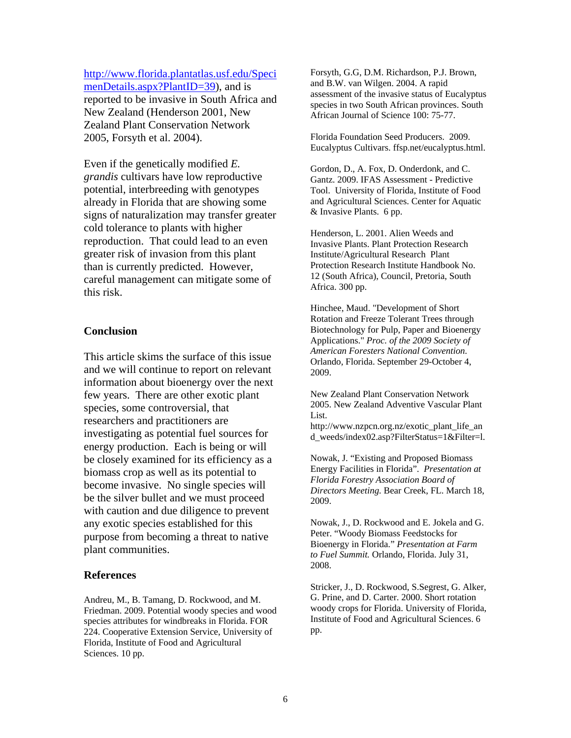http://www.florida.plantatlas.usf.edu/Speci menDetails.aspx?PlantID=39), and is

reported to be invasive in South Africa and New Zealand (Henderson 2001, New Zealand Plant Conservation Network 2005, Forsyth et al. 2004).

Even if the genetically modified *E. grandis* cultivars have low reproductive potential, interbreeding with genotypes already in Florida that are showing some signs of naturalization may transfer greater cold tolerance to plants with higher reproduction. That could lead to an even greater risk of invasion from this plant than is currently predicted. However, careful management can mitigate some of this risk.

#### **Conclusion**

This article skims the surface of this issue and we will continue to report on relevant information about bioenergy over the next few years. There are other exotic plant species, some controversial, that researchers and practitioners are investigating as potential fuel sources for energy production. Each is being or will be closely examined for its efficiency as a biomass crop as well as its potential to become invasive. No single species will be the silver bullet and we must proceed with caution and due diligence to prevent any exotic species established for this purpose from becoming a threat to native plant communities.

#### **References**

Andreu, M., B. Tamang, D. Rockwood, and M. Friedman. 2009. Potential woody species and wood species attributes for windbreaks in Florida. FOR 224. Cooperative Extension Service, University of Florida, Institute of Food and Agricultural Sciences. 10 pp.

Forsyth, G.G, D.M. Richardson, P.J. Brown, and B.W. van Wilgen. 2004. A rapid assessment of the invasive status of Eucalyptus species in two South African provinces. South African Journal of Science 100: 75-77.

Florida Foundation Seed Producers. 2009. Eucalyptus Cultivars. ffsp.net/eucalyptus.html.

Gordon, D., A. Fox, D. Onderdonk, and C. Gantz. 2009. IFAS Assessment - Predictive Tool. University of Florida, Institute of Food and Agricultural Sciences. Center for Aquatic & Invasive Plants. 6 pp.

Henderson, L. 2001. Alien Weeds and Invasive Plants. Plant Protection Research Institute/Agricultural Research Plant Protection Research Institute Handbook No. 12 (South Africa), Council, Pretoria, South Africa. 300 pp.

Hinchee, Maud. "Development of Short Rotation and Freeze Tolerant Trees through Biotechnology for Pulp, Paper and Bioenergy Applications." *Proc. of the 2009 Society of American Foresters National Convention.* Orlando, Florida. September 29-October 4, 2009.

New Zealand Plant Conservation Network 2005. New Zealand Adventive Vascular Plant List.

http://www.nzpcn.org.nz/exotic\_plant\_life\_an d\_weeds/index02.asp?FilterStatus=1&Filter=l.

Nowak, J. "Existing and Proposed Biomass Energy Facilities in Florida". *Presentation at Florida Forestry Association Board of Directors Meeting.* Bear Creek, FL. March 18, 2009.

Nowak, J., D. Rockwood and E. Jokela and G. Peter. "Woody Biomass Feedstocks for Bioenergy in Florida." *Presentation at Farm to Fuel Summit.* Orlando, Florida. July 31, 2008.

Stricker, J., D. Rockwood, S.Segrest, G. Alker, G. Prine, and D. Carter. 2000. Short rotation woody crops for Florida. University of Florida, Institute of Food and Agricultural Sciences. 6 pp.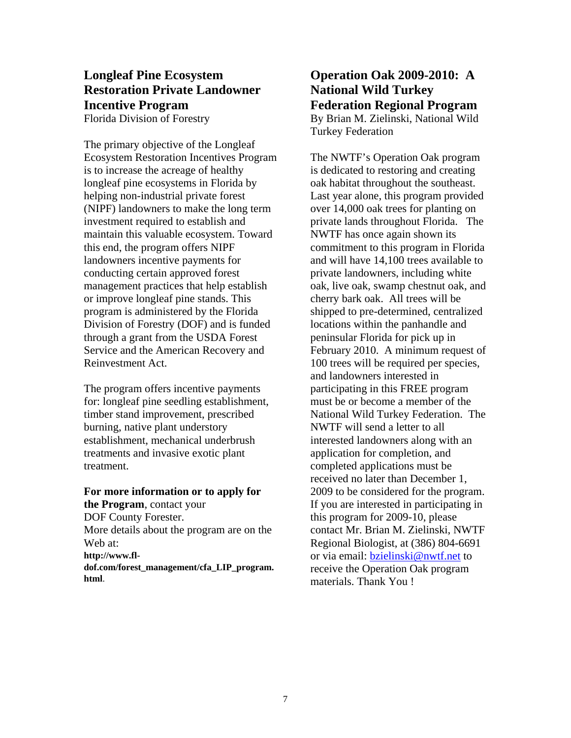## **Longleaf Pine Ecosystem Restoration Private Landowner Incentive Program**  Florida Division of Forestry

The primary objective of the Longleaf Ecosystem Restoration Incentives Program is to increase the acreage of healthy longleaf pine ecosystems in Florida by helping non-industrial private forest (NIPF) landowners to make the long term investment required to establish and maintain this valuable ecosystem. Toward this end, the program offers NIPF landowners incentive payments for conducting certain approved forest management practices that help establish or improve longleaf pine stands. This program is administered by the Florida Division of Forestry (DOF) and is funded through a grant from the USDA Forest Service and the American Recovery and Reinvestment Act.

The program offers incentive payments for: longleaf pine seedling establishment, timber stand improvement, prescribed burning, native plant understory establishment, mechanical underbrush treatments and invasive exotic plant treatment.

#### **For more information or to apply for the Program**, contact your DOF County Forester. More details about the program are on the Web at: **http://www.fldof.com/forest\_management/cfa\_LIP\_program. html**.

# **Operation Oak 2009-2010: A National Wild Turkey Federation Regional Program**  By Brian M. Zielinski, National Wild Turkey Federation

The NWTF's Operation Oak program is dedicated to restoring and creating oak habitat throughout the southeast. Last year alone, this program provided over 14,000 oak trees for planting on private lands throughout Florida. The NWTF has once again shown its commitment to this program in Florida and will have 14,100 trees available to private landowners, including white oak, live oak, swamp chestnut oak, and cherry bark oak. All trees will be shipped to pre-determined, centralized locations within the panhandle and peninsular Florida for pick up in February 2010. A minimum request of 100 trees will be required per species, and landowners interested in participating in this FREE program must be or become a member of the National Wild Turkey Federation. The NWTF will send a letter to all interested landowners along with an application for completion, and completed applications must be received no later than December 1, 2009 to be considered for the program. If you are interested in participating in this program for 2009-10, please contact Mr. Brian M. Zielinski, NWTF Regional Biologist, at (386) 804-6691 or via email: bzielinski@nwtf.net to receive the Operation Oak program materials. Thank You !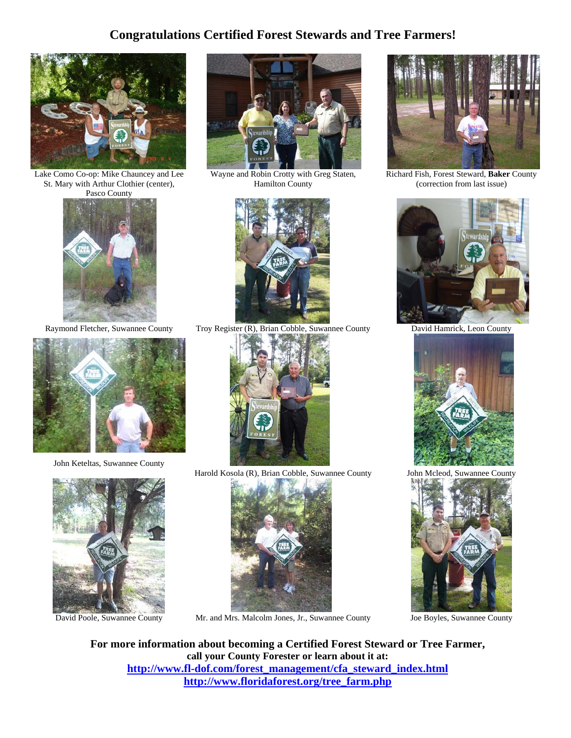# **Congratulations Certified Forest Stewards and Tree Farmers!**



Lake Como Co-op: Mike Chauncey and Lee St. Mary with Arthur Clothier (center), Pasco County





John Keteltas, Suwannee County





Wayne and Robin Crotty with Greg Staten, Hamilton County



Raymond Fletcher, Suwannee County Troy Register (R), Brian Cobble, Suwannee County David Hamrick, Leon County



Harold Kosola (R), Brian Cobble, Suwannee County John Mcleod, Suwannee County



David Poole, Suwannee County Mr. and Mrs. Malcolm Jones, Jr., Suwannee County Joe Boyles, Suwannee County



Richard Fish, Forest Steward, **Baker** County (correction from last issue)







**For more information about becoming a Certified Forest Steward or Tree Farmer, call your County Forester or learn about it at: http://www.fl-dof.com/forest\_management/cfa\_steward\_index.html http://www.floridaforest.org/tree\_farm.php**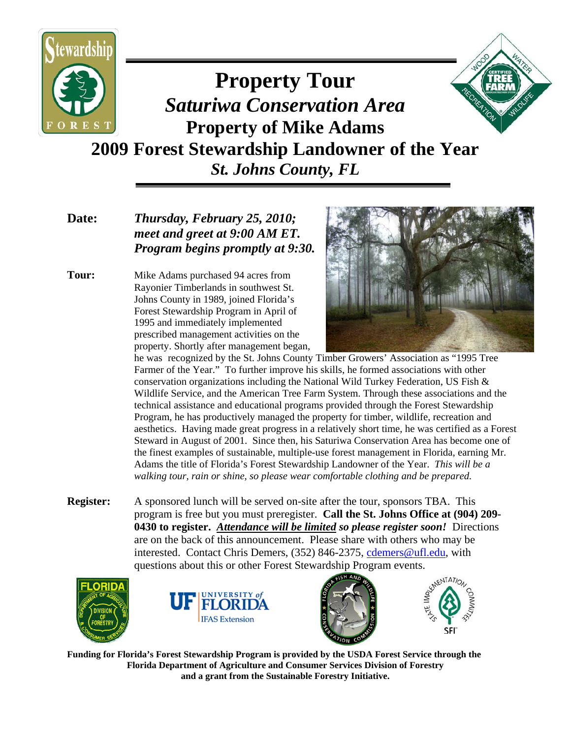

# **Property Tour**  *Saturiwa Conservation Area*  **Property of Mike Adams 2009 Forest Stewardship Landowner of the Year** *St. Johns County, FL*

# **Date:** *Thursday, February 25, 2010; meet and greet at 9:00 AM ET. Program begins promptly at 9:30.*

**Tour:** Mike Adams purchased 94 acres from Rayonier Timberlands in southwest St. Johns County in 1989, joined Florida's Forest Stewardship Program in April of 1995 and immediately implemented prescribed management activities on the property. Shortly after management began,



 he was recognized by the St. Johns County Timber Growers' Association as "1995 Tree Farmer of the Year." To further improve his skills, he formed associations with other conservation organizations including the National Wild Turkey Federation, US Fish  $\&$  Wildlife Service, and the American Tree Farm System. Through these associations and the technical assistance and educational programs provided through the Forest Stewardship Program, he has productively managed the property for timber, wildlife, recreation and aesthetics. Having made great progress in a relatively short time, he was certified as a Forest Steward in August of 2001. Since then, his Saturiwa Conservation Area has become one of the finest examples of sustainable, multiple-use forest management in Florida, earning Mr. Adams the title of Florida's Forest Stewardship Landowner of the Year. *This will be a walking tour, rain or shine, so please wear comfortable clothing and be prepared.* 

**Register:** A sponsored lunch will be served on-site after the tour, sponsors TBA. This program is free but you must preregister. **Call the St. Johns Office at (904) 209- 0430 to register.** *Attendance will be limited so please register soon!* Directions are on the back of this announcement. Please share with others who may be interested. Contact Chris Demers, (352) 846-2375, cdemers@ufl.edu, with questions about this or other Forest Stewardship Program events.









**Funding for Florida's Forest Stewardship Program is provided by the USDA Forest Service through the Florida Department of Agriculture and Consumer Services Division of Forestry and a grant from the Sustainable Forestry Initiative.**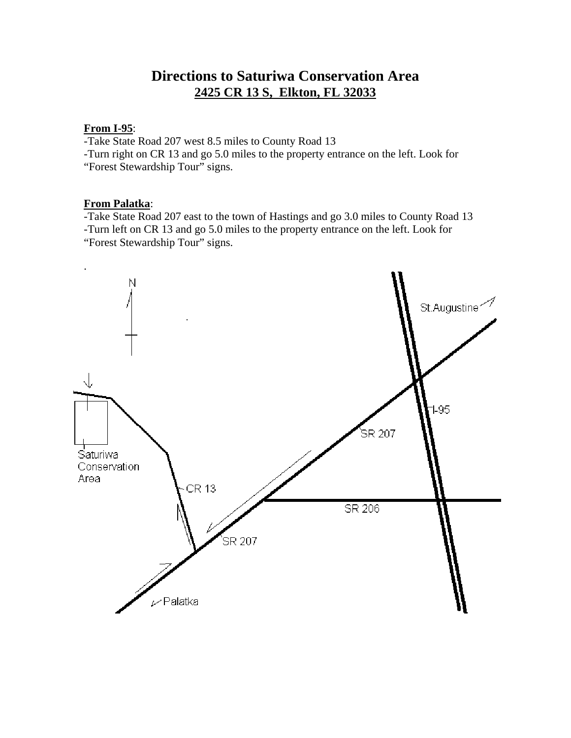# **Directions to Saturiwa Conservation Area 2425 CR 13 S, Elkton, FL 32033**

#### **From I-95**:

-Take State Road 207 west 8.5 miles to County Road 13

-Turn right on CR 13 and go 5.0 miles to the property entrance on the left. Look for "Forest Stewardship Tour" signs.

#### **From Palatka**:

-Take State Road 207 east to the town of Hastings and go 3.0 miles to County Road 13 -Turn left on CR 13 and go 5.0 miles to the property entrance on the left. Look for "Forest Stewardship Tour" signs.

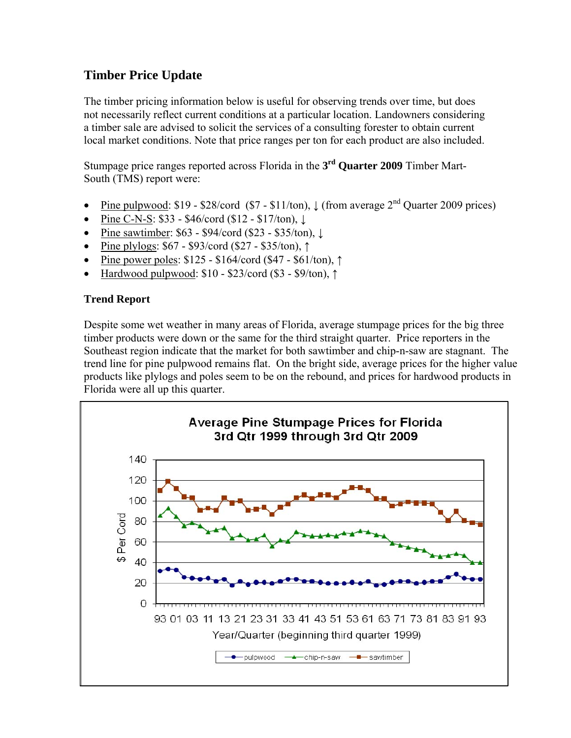# **Timber Price Update**

The timber pricing information below is useful for observing trends over time, but does not necessarily reflect current conditions at a particular location. Landowners considering a timber sale are advised to solicit the services of a consulting forester to obtain current local market conditions. Note that price ranges per ton for each product are also included.

Stumpage price ranges reported across Florida in the **3rd Quarter 2009** Timber Mart-South (TMS) report were:

- Pine pulpwood:  $$19 $28/\text{cord } ($7 $11/\text{ton})$ ,  $\downarrow$  (from average  $2^{\text{nd}}$  Quarter 2009 prices)
- Pine C-N-S: \$33 \$46/cord (\$12 \$17/ton), ↓
- Pine sawtimber: \$63 \$94/cord (\$23 \$35/ton), ↓
- Pine plylogs: \$67 \$93/cord (\$27 \$35/ton), ↑
- Pine power poles: \$125 \$164/cord (\$47 \$61/ton), ↑
- Hardwood pulpwood: \$10 \$23/cord (\$3 \$9/ton), ↑

# **Trend Report**

Despite some wet weather in many areas of Florida, average stumpage prices for the big three timber products were down or the same for the third straight quarter. Price reporters in the Southeast region indicate that the market for both sawtimber and chip-n-saw are stagnant. The trend line for pine pulpwood remains flat. On the bright side, average prices for the higher value products like plylogs and poles seem to be on the rebound, and prices for hardwood products in Florida were all up this quarter.